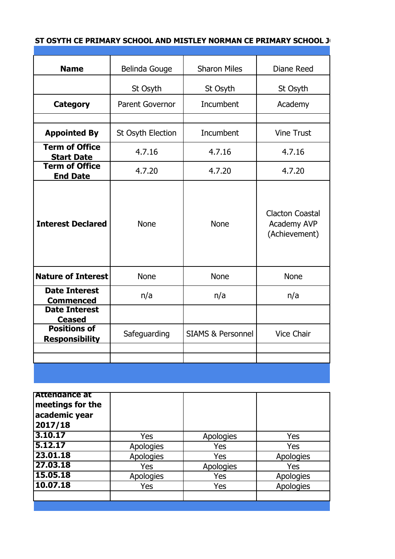## **ST OSYTH CE PRIMARY SCHOOL AND MISTLEY NORMAN CE PRIMARY SCHOOL JOINT GOVERNING BOTH**

| <b>Name</b>                                  | Belinda Gouge          | <b>Sharon Miles</b>          | Diane Reed                                             |
|----------------------------------------------|------------------------|------------------------------|--------------------------------------------------------|
|                                              | St Osyth               | St Osyth                     | St Osyth                                               |
| <b>Category</b>                              | <b>Parent Governor</b> | Incumbent                    | Academy                                                |
|                                              |                        |                              |                                                        |
| <b>Appointed By</b>                          | St Osyth Election      | <b>Incumbent</b>             | <b>Vine Trust</b>                                      |
| <b>Term of Office</b><br><b>Start Date</b>   | 4.7.16                 | 4.7.16                       | 4.7.16                                                 |
| <b>Term of Office</b><br><b>End Date</b>     | 4.7.20                 | 4.7.20                       | 4.7.20                                                 |
| <b>Interest Declared</b>                     | <b>None</b>            | <b>None</b>                  | <b>Clacton Coastal</b><br>Academy AVP<br>(Achievement) |
| <b>Nature of Interest</b>                    | <b>None</b>            | <b>None</b>                  | <b>None</b>                                            |
| <b>Date Interest</b><br><b>Commenced</b>     | n/a                    | n/a                          | n/a                                                    |
| <b>Date Interest</b><br><b>Ceased</b>        |                        |                              |                                                        |
| <b>Positions of</b><br><b>Responsibility</b> | Safeguarding           | <b>SIAMS &amp; Personnel</b> | <b>Vice Chair</b>                                      |
|                                              |                        |                              |                                                        |
|                                              |                        |                              |                                                        |
|                                              |                        |                              |                                                        |

| <b>Attendance at</b><br>meetings for the<br>academic year<br>2017/18 |           |           |                  |
|----------------------------------------------------------------------|-----------|-----------|------------------|
| 3.10.17                                                              | Yes       | Apologies | Yes              |
| 5.12.17                                                              | Apologies | Yes       | Yes              |
| 23.01.18                                                             | Apologies | Yes       | Apologies        |
| 27.03.18                                                             | Yes       | Apologies | Yes              |
| 15.05.18                                                             | Apologies | Yes       | Apologies        |
| 10.07.18                                                             | Yes       | Yes       | <b>Apologies</b> |
|                                                                      |           |           |                  |
|                                                                      |           |           |                  |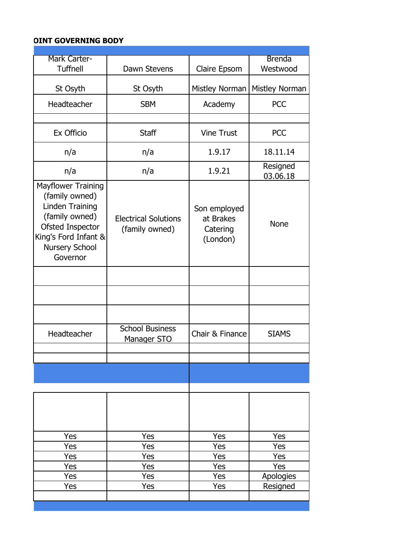## **OINT GOVERNING BODY**

| Mark Carter-<br><b>Tuffnell</b>                                                                                                                     | Dawn Stevens                                  | Claire Epsom                                      | <b>Brenda</b><br>Westwood |
|-----------------------------------------------------------------------------------------------------------------------------------------------------|-----------------------------------------------|---------------------------------------------------|---------------------------|
| St Osyth                                                                                                                                            | St Osyth                                      | Mistley Norman                                    | Mistley Norman            |
| Headteacher                                                                                                                                         | <b>SBM</b>                                    | Academy                                           | <b>PCC</b>                |
|                                                                                                                                                     |                                               |                                                   |                           |
| Ex Officio                                                                                                                                          | <b>Staff</b>                                  | <b>Vine Trust</b>                                 | <b>PCC</b>                |
| n/a                                                                                                                                                 | n/a                                           | 1.9.17                                            | 18.11.14                  |
| n/a                                                                                                                                                 | n/a                                           | 1.9.21                                            | Resigned<br>03.06.18      |
| Mayflower Training<br>(family owned)<br>Linden Training<br>(family owned)<br>Ofsted Inspector<br>King's Ford Infant &<br>Nursery School<br>Governor | <b>Electrical Solutions</b><br>(family owned) | Son employed<br>at Brakes<br>Catering<br>(London) | <b>None</b>               |
|                                                                                                                                                     |                                               |                                                   |                           |
|                                                                                                                                                     |                                               |                                                   |                           |
|                                                                                                                                                     |                                               |                                                   |                           |
| Headteacher                                                                                                                                         | <b>School Business</b><br>Manager STO         | Chair & Finance                                   | <b>SIAMS</b>              |
|                                                                                                                                                     |                                               |                                                   |                           |
|                                                                                                                                                     |                                               |                                                   |                           |
|                                                                                                                                                     |                                               |                                                   |                           |
|                                                                                                                                                     |                                               |                                                   |                           |
|                                                                                                                                                     |                                               |                                                   |                           |
| Yes                                                                                                                                                 | Yes                                           | Yes                                               | Yes                       |
| Yes                                                                                                                                                 | Yes                                           | Yes                                               | Yes                       |
| Yes                                                                                                                                                 | Yes                                           | Yes                                               | Yes                       |
| Yes                                                                                                                                                 | Yes                                           | Yes                                               | Yes                       |
| Yes                                                                                                                                                 | Yes                                           | Yes                                               | Apologies                 |

Yes Yes Yes Yes Resigned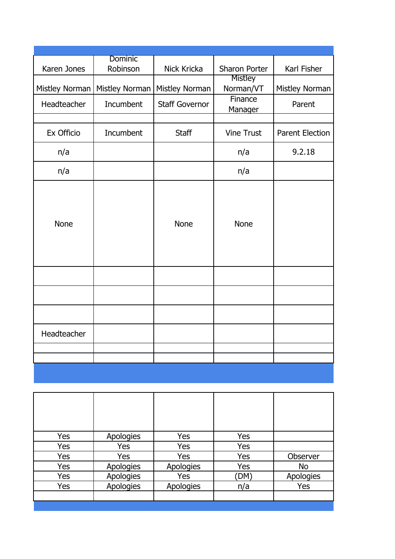|                | Dominic        |                       |                   |                        |
|----------------|----------------|-----------------------|-------------------|------------------------|
| Karen Jones    | Robinson       | Nick Kricka           | Sharon Porter     | Karl Fisher            |
|                |                |                       | Mistley           |                        |
| Mistley Norman | Mistley Norman | Mistley Norman        | Norman/VT         | Mistley Norman         |
| Headteacher    | Incumbent      | <b>Staff Governor</b> | Finance           | Parent                 |
|                |                |                       | Manager           |                        |
|                |                |                       |                   |                        |
| Ex Officio     | Incumbent      | <b>Staff</b>          | <b>Vine Trust</b> | <b>Parent Election</b> |
| n/a            |                |                       | n/a               | 9.2.18                 |
|                |                |                       |                   |                        |
| n/a            |                |                       | n/a               |                        |
|                |                |                       |                   |                        |
|                |                |                       |                   |                        |
|                |                |                       |                   |                        |
| <b>None</b>    |                | <b>None</b>           | <b>None</b>       |                        |
|                |                |                       |                   |                        |
|                |                |                       |                   |                        |
|                |                |                       |                   |                        |
|                |                |                       |                   |                        |
|                |                |                       |                   |                        |
|                |                |                       |                   |                        |
|                |                |                       |                   |                        |
|                |                |                       |                   |                        |
|                |                |                       |                   |                        |
| Headteacher    |                |                       |                   |                        |
|                |                |                       |                   |                        |
|                |                |                       |                   |                        |
|                |                |                       |                   |                        |
|                |                |                       |                   |                        |

| Yes | Apologies        | Yes        | Yes  |           |
|-----|------------------|------------|------|-----------|
| Yes | Yes              | Yes        | Yes  |           |
| Yes | Yes              | Yes        | Yes  | Observer  |
| Yes | <b>Apologies</b> | Apologies  | Yes  | <b>No</b> |
| Yes | <b>Apologies</b> | <b>Yes</b> | (DM) | Apologies |
| Yes | Apologies        | Apologies  | n/a  | Yes       |
|     |                  |            |      |           |
|     |                  |            |      |           |